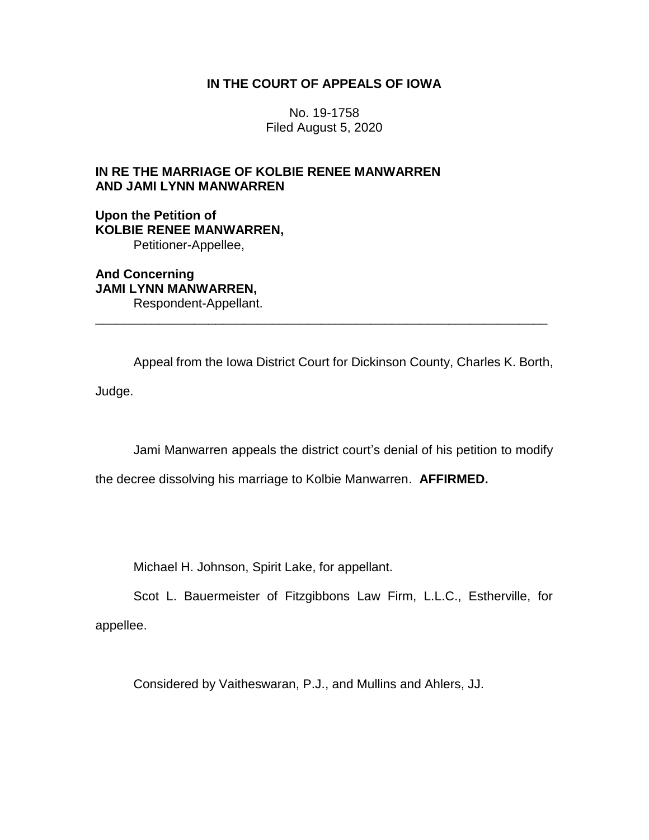## **IN THE COURT OF APPEALS OF IOWA**

No. 19-1758 Filed August 5, 2020

# **IN RE THE MARRIAGE OF KOLBIE RENEE MANWARREN AND JAMI LYNN MANWARREN**

**Upon the Petition of KOLBIE RENEE MANWARREN,** Petitioner-Appellee,

**And Concerning JAMI LYNN MANWARREN,** Respondent-Appellant.

Appeal from the Iowa District Court for Dickinson County, Charles K. Borth,

\_\_\_\_\_\_\_\_\_\_\_\_\_\_\_\_\_\_\_\_\_\_\_\_\_\_\_\_\_\_\_\_\_\_\_\_\_\_\_\_\_\_\_\_\_\_\_\_\_\_\_\_\_\_\_\_\_\_\_\_\_\_\_\_

Judge.

Jami Manwarren appeals the district court's denial of his petition to modify

the decree dissolving his marriage to Kolbie Manwarren. **AFFIRMED.**

Michael H. Johnson, Spirit Lake, for appellant.

Scot L. Bauermeister of Fitzgibbons Law Firm, L.L.C., Estherville, for appellee.

Considered by Vaitheswaran, P.J., and Mullins and Ahlers, JJ.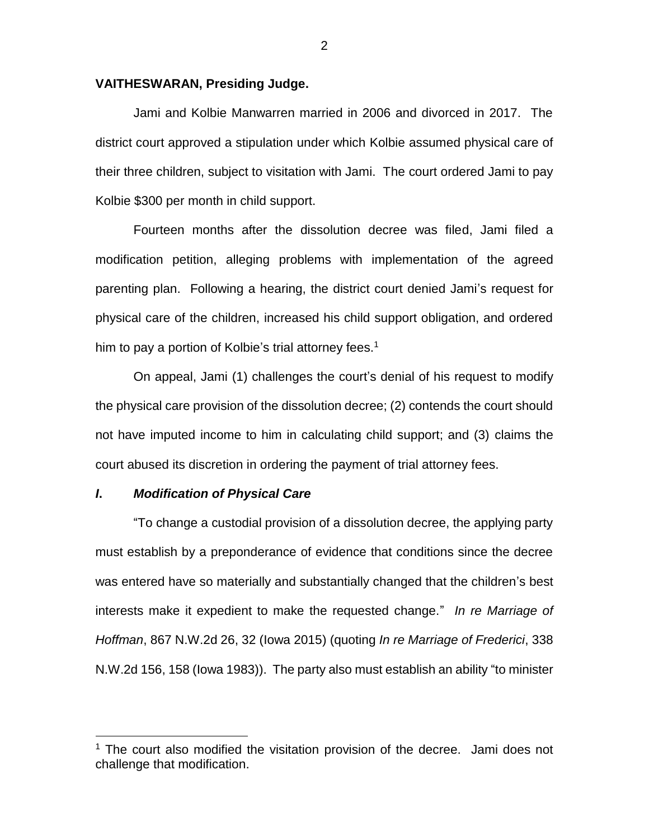#### **VAITHESWARAN, Presiding Judge.**

Jami and Kolbie Manwarren married in 2006 and divorced in 2017. The district court approved a stipulation under which Kolbie assumed physical care of their three children, subject to visitation with Jami. The court ordered Jami to pay Kolbie \$300 per month in child support.

Fourteen months after the dissolution decree was filed, Jami filed a modification petition, alleging problems with implementation of the agreed parenting plan. Following a hearing, the district court denied Jami's request for physical care of the children, increased his child support obligation, and ordered him to pay a portion of Kolbie's trial attorney fees.<sup>1</sup>

On appeal, Jami (1) challenges the court's denial of his request to modify the physical care provision of the dissolution decree; (2) contends the court should not have imputed income to him in calculating child support; and (3) claims the court abused its discretion in ordering the payment of trial attorney fees.

#### *I***.** *Modification of Physical Care*

 $\overline{a}$ 

"To change a custodial provision of a dissolution decree, the applying party must establish by a preponderance of evidence that conditions since the decree was entered have so materially and substantially changed that the children's best interests make it expedient to make the requested change." *In re Marriage of Hoffman*, 867 N.W.2d 26, 32 (Iowa 2015) (quoting *In re Marriage of Frederici*, 338 N.W.2d 156, 158 (Iowa 1983)). The party also must establish an ability "to minister

 $1$  The court also modified the visitation provision of the decree. Jami does not challenge that modification.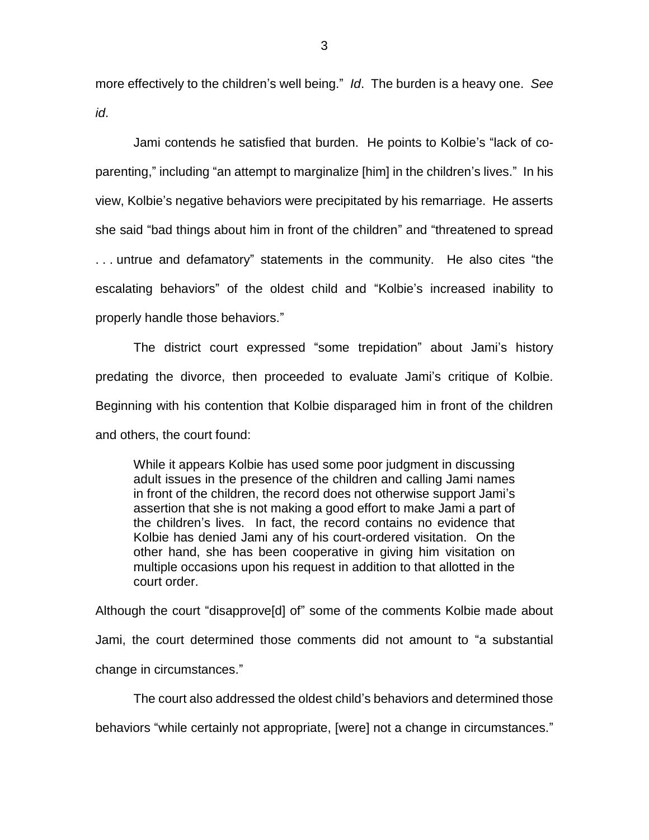more effectively to the children's well being." *Id*. The burden is a heavy one. *See id*.

Jami contends he satisfied that burden. He points to Kolbie's "lack of coparenting," including "an attempt to marginalize [him] in the children's lives." In his view, Kolbie's negative behaviors were precipitated by his remarriage. He asserts she said "bad things about him in front of the children" and "threatened to spread . . . untrue and defamatory" statements in the community. He also cites "the escalating behaviors" of the oldest child and "Kolbie's increased inability to properly handle those behaviors."

The district court expressed "some trepidation" about Jami's history predating the divorce, then proceeded to evaluate Jami's critique of Kolbie. Beginning with his contention that Kolbie disparaged him in front of the children and others, the court found:

While it appears Kolbie has used some poor judgment in discussing adult issues in the presence of the children and calling Jami names in front of the children, the record does not otherwise support Jami's assertion that she is not making a good effort to make Jami a part of the children's lives. In fact, the record contains no evidence that Kolbie has denied Jami any of his court-ordered visitation. On the other hand, she has been cooperative in giving him visitation on multiple occasions upon his request in addition to that allotted in the court order.

Although the court "disapprove[d] of" some of the comments Kolbie made about Jami, the court determined those comments did not amount to "a substantial change in circumstances."

The court also addressed the oldest child's behaviors and determined those

behaviors "while certainly not appropriate, [were] not a change in circumstances."

3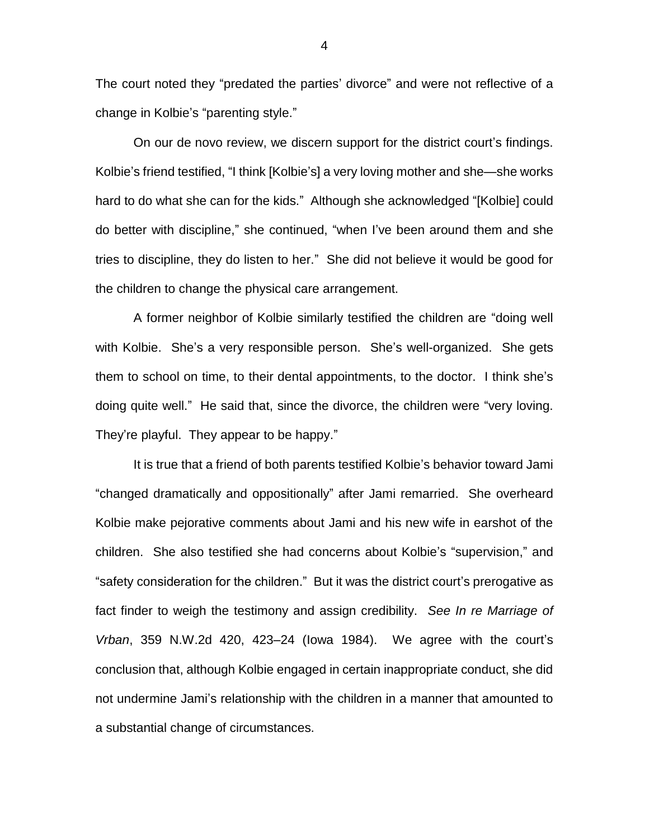The court noted they "predated the parties' divorce" and were not reflective of a change in Kolbie's "parenting style."

On our de novo review, we discern support for the district court's findings. Kolbie's friend testified, "I think [Kolbie's] a very loving mother and she—she works hard to do what she can for the kids." Although she acknowledged "[Kolbie] could do better with discipline," she continued, "when I've been around them and she tries to discipline, they do listen to her." She did not believe it would be good for the children to change the physical care arrangement.

A former neighbor of Kolbie similarly testified the children are "doing well with Kolbie. She's a very responsible person. She's well-organized. She gets them to school on time, to their dental appointments, to the doctor. I think she's doing quite well." He said that, since the divorce, the children were "very loving. They're playful. They appear to be happy."

It is true that a friend of both parents testified Kolbie's behavior toward Jami "changed dramatically and oppositionally" after Jami remarried. She overheard Kolbie make pejorative comments about Jami and his new wife in earshot of the children. She also testified she had concerns about Kolbie's "supervision," and "safety consideration for the children." But it was the district court's prerogative as fact finder to weigh the testimony and assign credibility. *See In re Marriage of Vrban*, 359 N.W.2d 420, 423–24 (Iowa 1984). We agree with the court's conclusion that, although Kolbie engaged in certain inappropriate conduct, she did not undermine Jami's relationship with the children in a manner that amounted to a substantial change of circumstances.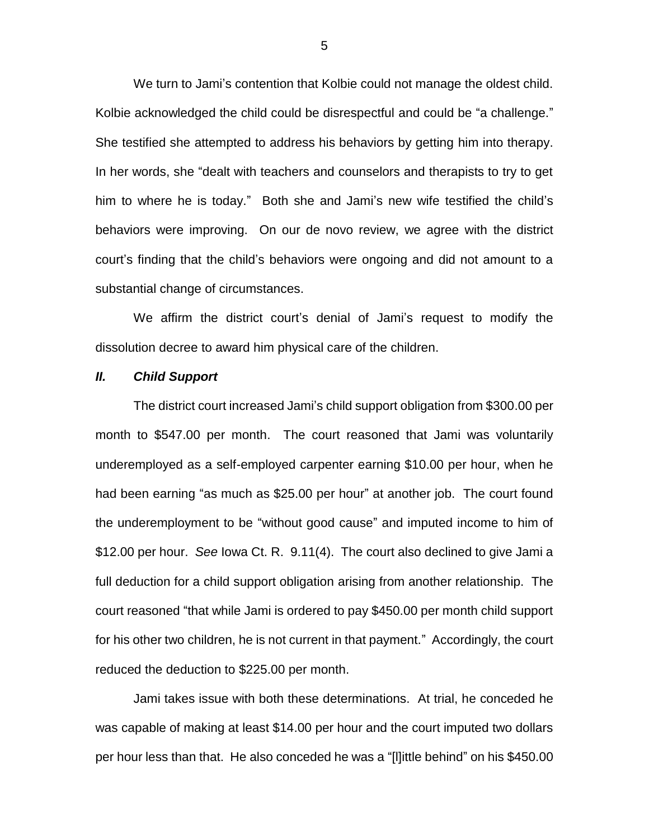We turn to Jami's contention that Kolbie could not manage the oldest child. Kolbie acknowledged the child could be disrespectful and could be "a challenge." She testified she attempted to address his behaviors by getting him into therapy. In her words, she "dealt with teachers and counselors and therapists to try to get him to where he is today." Both she and Jami's new wife testified the child's behaviors were improving. On our de novo review, we agree with the district court's finding that the child's behaviors were ongoing and did not amount to a substantial change of circumstances.

We affirm the district court's denial of Jami's request to modify the dissolution decree to award him physical care of the children.

#### *II. Child Support*

The district court increased Jami's child support obligation from \$300.00 per month to \$547.00 per month. The court reasoned that Jami was voluntarily underemployed as a self-employed carpenter earning \$10.00 per hour, when he had been earning "as much as \$25.00 per hour" at another job. The court found the underemployment to be "without good cause" and imputed income to him of \$12.00 per hour. *See* Iowa Ct. R. 9.11(4). The court also declined to give Jami a full deduction for a child support obligation arising from another relationship. The court reasoned "that while Jami is ordered to pay \$450.00 per month child support for his other two children, he is not current in that payment." Accordingly, the court reduced the deduction to \$225.00 per month.

Jami takes issue with both these determinations. At trial, he conceded he was capable of making at least \$14.00 per hour and the court imputed two dollars per hour less than that. He also conceded he was a "[l]ittle behind" on his \$450.00

5